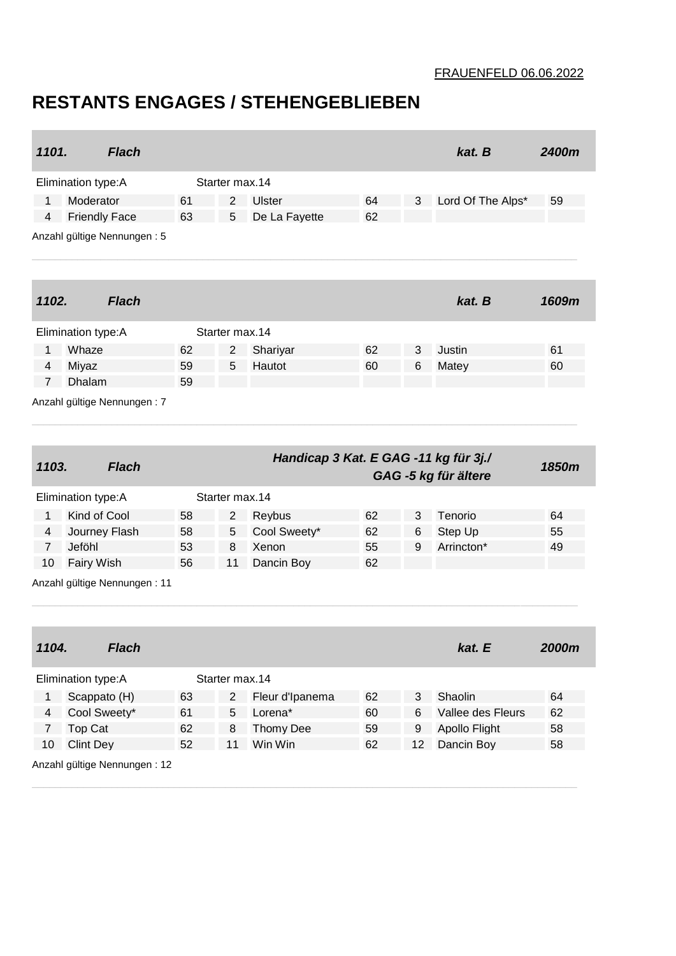## FRAUENFELD 06.06.2022

## **RESTANTS ENGAGES / STEHENGEBLIEBEN**

| 1101.                        |                                                   | <b>Flach</b> |    |                |                                       |    |    | kat. B               | 2400m |
|------------------------------|---------------------------------------------------|--------------|----|----------------|---------------------------------------|----|----|----------------------|-------|
|                              | Elimination type: A                               |              |    | Starter max.14 |                                       |    |    |                      |       |
| 1                            | Moderator                                         |              | 61 | $\overline{2}$ | Ulster                                | 64 | 3  | Lord Of The Alps*    | 59    |
| 4                            | <b>Friendly Face</b>                              |              | 63 | 5              | De La Fayette                         | 62 |    |                      |       |
|                              | Anzahl gültige Nennungen: 5                       |              |    |                |                                       |    |    |                      |       |
| 1102.                        |                                                   | <b>Flach</b> |    |                |                                       |    |    | kat. B               | 1609m |
|                              | Elimination type: A                               |              |    | Starter max.14 |                                       |    |    |                      |       |
| 1                            | Whaze                                             |              | 62 | $\overline{2}$ | Shariyar                              | 62 | 3  | Justin               | 61    |
| 4                            | Miyaz                                             |              | 59 | 5              | Hautot                                | 60 | 6  | Matey                | 60    |
| $\mathbf{7}$                 | Dhalam                                            |              | 59 |                |                                       |    |    |                      |       |
|                              | Anzahl gültige Nennungen: 7                       |              |    |                |                                       |    |    |                      |       |
| 1103.                        |                                                   | <b>Flach</b> |    |                | Handicap 3 Kat. E GAG -11 kg für 3j./ |    |    | GAG -5 kg für ältere | 1850m |
|                              | Elimination type:A                                |              |    | Starter max.14 |                                       |    |    |                      |       |
| $\mathbf 1$                  | Kind of Cool                                      |              | 58 | $\overline{2}$ | Reybus                                | 62 | 3  | Tenorio              | 64    |
| 4                            | Journey Flash                                     |              | 58 | 5              | Cool Sweety*                          | 62 | 6  | Step Up              | 55    |
| $\overline{7}$               | Jeföhl                                            |              | 53 | 8              | Xenon                                 | 55 | 9  | Arrincton*           | 49    |
| 10                           | <b>Fairy Wish</b><br>Anzahl gültige Nennungen: 11 |              | 56 | 11             | Dancin Boy                            | 62 |    |                      |       |
| 1104.                        |                                                   | <b>Flach</b> |    |                |                                       |    |    | kat. E               | 2000m |
|                              | Elimination type: A                               |              |    | Starter max.14 |                                       |    |    |                      |       |
| $\mathbf{1}$                 | Scappato (H)                                      |              | 63 | $\overline{2}$ | Fleur d'Ipanema                       | 62 | 3  | Shaolin              | 64    |
| 4                            | Cool Sweety*                                      |              | 61 | 5              | Lorena*                               | 60 | 6  | Vallee des Fleurs    | 62    |
| $\overline{7}$               | Top Cat                                           |              | 62 | 8              | Thomy Dee                             | 59 | 9  | Apollo Flight        | 58    |
| 10                           | <b>Clint Dey</b>                                  |              | 52 | 11             | Win Win                               | 62 | 12 | Dancin Boy           | 58    |
| Anzahl gültige Nennungen: 12 |                                                   |              |    |                |                                       |    |    |                      |       |